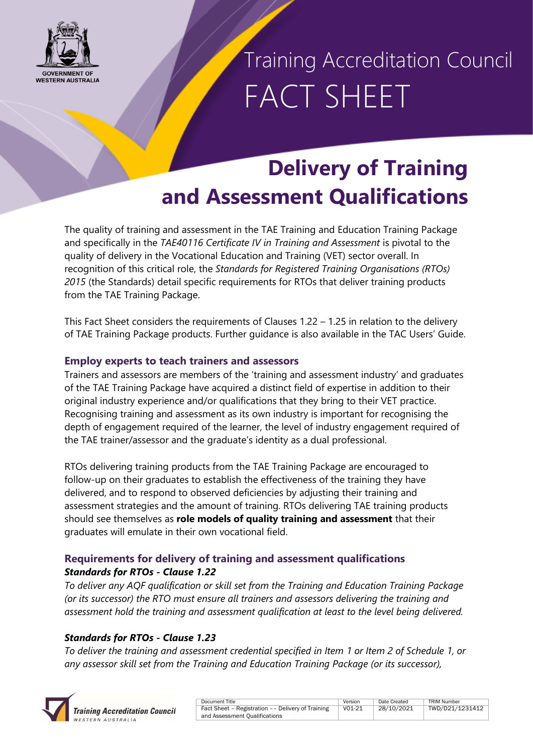

Training Accreditation Council FACT SHEET

## **Delivery of Training and Assessment Qualifications**

The quality of training and assessment in the TAE Training and Education Training Package and specifically in the *TAE40116 Certificate IV in Training and Assessment* is pivotal to the quality of delivery in the Vocational Education and Training (VET) sector overall. In recognition of this critical role, the *Standards for Registered Training Organisations (RTOs) 2015* (the Standards) detail specific requirements for RTOs that deliver training products from the TAE Training Package.

This Fact Sheet considers the requirements of Clauses 1.22 – 1.25 in relation to the delivery of TAE Training Package products. Further guidance is also available in the TAC Users' Guide.

### **Employ experts to teach trainers and assessors**

Trainers and assessors are members of the 'training and assessment industry' and graduates of the TAE Training Package have acquired a distinct field of expertise in addition to their original industry experience and/or qualifications that they bring to their VET practice. Recognising training and assessment as its own industry is important for recognising the depth of engagement required of the learner, the level of industry engagement required of the TAE trainer/assessor and the graduate's identity as a dual professional.

RTOs delivering training products from the TAE Training Package are encouraged to follow-up on their graduates to establish the effectiveness of the training they have delivered, and to respond to observed deficiencies by adjusting their training and assessment strategies and the amount of training. RTOs delivering TAE training products should see themselves as **role models of quality training and assessment** that their graduates will emulate in their own vocational field.

### **Requirements for delivery of training and assessment qualifications** *Standards for RTOs - Clause 1.22*

*To deliver any AQF qualification or skill set from the Training and Education Training Package (or its successor) the RTO must ensure all trainers and assessors delivering the training and assessment hold the training and assessment qualification at least to the level being delivered.*

### *Standards for RTOs - Clause 1.23*

*To deliver the training and assessment credential specified in Item 1 or Item 2 of Schedule 1, or any assessor skill set from the Training and Education Training Package (or its successor),* 



| Document Title                                    | Version | Date Created | <b>TRIM Number</b> |
|---------------------------------------------------|---------|--------------|--------------------|
| Fact Sheet - Registration -- Delivery of Training | V01-21  | 28/10/2021   | TWD/D21/1231412    |
| and Assessment Oualifications                     |         |              |                    |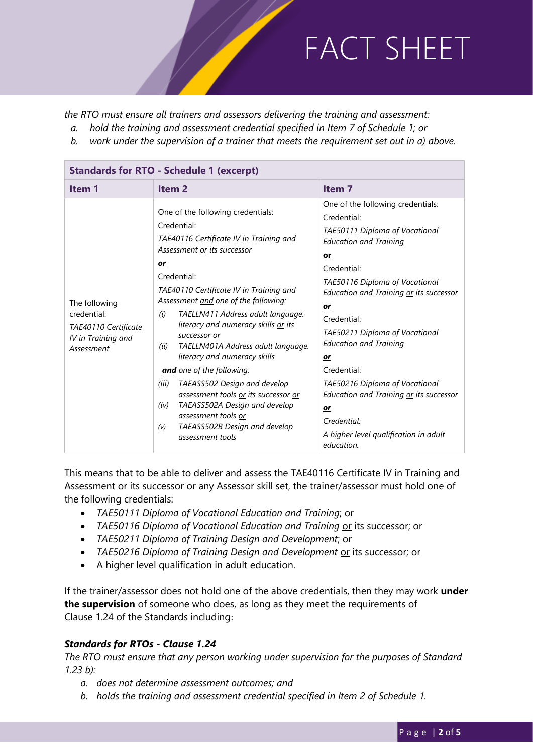*the RTO must ensure all trainers and assessors delivering the training and assessment:*

- *a. hold the training and assessment credential specified in Item 7 of Schedule 1; or*
- *b. work under the supervision of a trainer that meets the requirement set out in a) above.*

| <b>Standards for RTO - Schedule 1 (excerpt)</b>                                          |                                                                                                                                                                                                                                                                                                                                                                                                                     |                                                                                                                                                                                                                                                                                                                     |  |  |  |
|------------------------------------------------------------------------------------------|---------------------------------------------------------------------------------------------------------------------------------------------------------------------------------------------------------------------------------------------------------------------------------------------------------------------------------------------------------------------------------------------------------------------|---------------------------------------------------------------------------------------------------------------------------------------------------------------------------------------------------------------------------------------------------------------------------------------------------------------------|--|--|--|
| Item 1                                                                                   | Item <sub>2</sub>                                                                                                                                                                                                                                                                                                                                                                                                   | Item <sub>7</sub>                                                                                                                                                                                                                                                                                                   |  |  |  |
| The following<br>credential:<br>TAE40110 Certificate<br>IV in Training and<br>Assessment | One of the following credentials:<br>Credential:<br>TAE40116 Certificate IV in Training and<br>Assessment or its successor<br>or<br>Credential:<br>TAE40110 Certificate IV in Training and<br>Assessment and one of the following:<br>TAELLN411 Address adult language.<br>(i)<br>literacy and numeracy skills or its<br>successor or<br>TAELLN401A Address adult language.<br>(ii)<br>literacy and numeracy skills | One of the following credentials:<br>Credential:<br>TAE50111 Diploma of Vocational<br><b>Education and Training</b><br>or<br>Credential:<br>TAE50116 Diploma of Vocational<br>Education and Training or its successor<br>or<br>Credential:<br>TAE50211 Diploma of Vocational<br><b>Education and Training</b><br>or |  |  |  |
|                                                                                          | and one of the following:<br>TAEASS502 Design and develop<br>(iii)<br>assessment tools or its successor or<br>TAEASS502A Design and develop<br>(iv)<br>assessment tools or<br>TAEASS502B Design and develop<br>(v)<br>assessment tools                                                                                                                                                                              | Credential:<br>TAE50216 Diploma of Vocational<br>Education and Training or its successor<br>or<br>Credential:<br>A higher level qualification in adult<br>education.                                                                                                                                                |  |  |  |

This means that to be able to deliver and assess the TAE40116 Certificate IV in Training and Assessment or its successor or any Assessor skill set, the trainer/assessor must hold one of the following credentials:

- *TAE50111 Diploma of Vocational Education and Training*; or
- *TAE50116 Diploma of Vocational Education and Training* or its successor; or
- *TAE50211 Diploma of Training Design and Development*; or
- TAE50216 Diploma of Training Design and Development or its successor; or
- A higher level qualification in adult education.

If the trainer/assessor does not hold one of the above credentials, then they may work **under the supervision** of someone who does, as long as they meet the requirements of Clause 1.24 of the Standards including:

#### *Standards for RTOs - Clause 1.24*

*The RTO must ensure that any person working under supervision for the purposes of Standard 1.23 b):* 

- *a. does not determine assessment outcomes; and*
- *b. holds the training and assessment credential specified in Item 2 of Schedule 1.*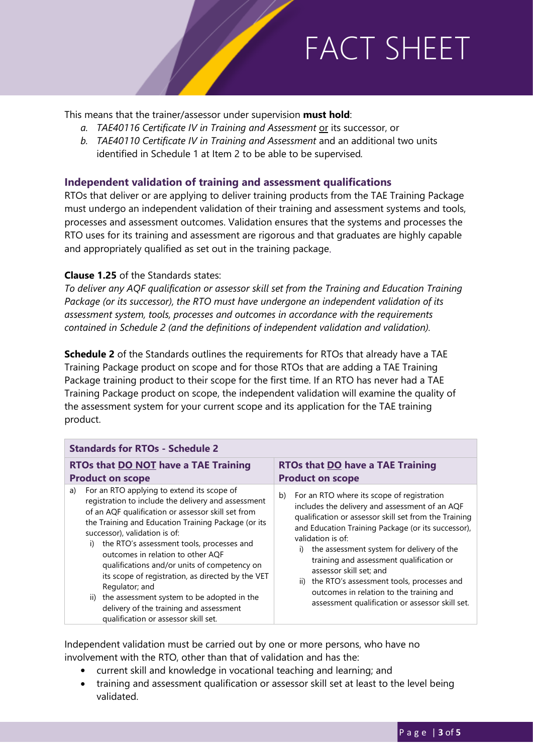This means that the trainer/assessor under supervision **must hold**:

- *a. TAE40116 Certificate IV in Training and Assessment* or its successor, or
- *b. TAE40110 Certificate IV in Training and Assessment* and an additional two units identified in Schedule 1 at Item 2 to be able to be supervised*.*

#### **Independent validation of training and assessment qualifications**

RTOs that deliver or are applying to deliver training products from the TAE Training Package must undergo an independent validation of their training and assessment systems and tools, processes and assessment outcomes. Validation ensures that the systems and processes the RTO uses for its training and assessment are rigorous and that graduates are highly capable and appropriately qualified as set out in the training package.

#### **Clause 1.25** of the Standards states:

*To deliver any AQF qualification or assessor skill set from the Training and Education Training Package (or its successor), the RTO must have undergone an independent validation of its assessment system, tools, processes and outcomes in accordance with the requirements contained in Schedule 2 (and the definitions of independent validation and validation).*

**Schedule 2** of the Standards outlines the requirements for RTOs that already have a TAE Training Package product on scope and for those RTOs that are adding a TAE Training Package training product to their scope for the first time. If an RTO has never had a TAE Training Package product on scope, the independent validation will examine the quality of the assessment system for your current scope and its application for the TAE training product.

| <b>Standards for RTOs - Schedule 2</b>                                                                                                                                                                                                                                                                                                                                                                                                                                                                                                                                                                    |                                                                                                                                                                                                                                                                                                                                                                                                                                                                                                               |  |  |  |  |
|-----------------------------------------------------------------------------------------------------------------------------------------------------------------------------------------------------------------------------------------------------------------------------------------------------------------------------------------------------------------------------------------------------------------------------------------------------------------------------------------------------------------------------------------------------------------------------------------------------------|---------------------------------------------------------------------------------------------------------------------------------------------------------------------------------------------------------------------------------------------------------------------------------------------------------------------------------------------------------------------------------------------------------------------------------------------------------------------------------------------------------------|--|--|--|--|
| <b>RTOs that DO NOT have a TAE Training</b><br><b>Product on scope</b>                                                                                                                                                                                                                                                                                                                                                                                                                                                                                                                                    | <b>RTOs that DO have a TAE Training</b><br><b>Product on scope</b>                                                                                                                                                                                                                                                                                                                                                                                                                                            |  |  |  |  |
| For an RTO applying to extend its scope of<br>a)<br>registration to include the delivery and assessment<br>of an AQF qualification or assessor skill set from<br>the Training and Education Training Package (or its<br>successor), validation is of:<br>the RTO's assessment tools, processes and<br>i)<br>outcomes in relation to other AQF<br>qualifications and/or units of competency on<br>its scope of registration, as directed by the VET<br>Regulator; and<br>ii) the assessment system to be adopted in the<br>delivery of the training and assessment<br>qualification or assessor skill set. | For an RTO where its scope of registration<br>b)<br>includes the delivery and assessment of an AQF<br>qualification or assessor skill set from the Training<br>and Education Training Package (or its successor),<br>validation is of:<br>the assessment system for delivery of the<br>training and assessment qualification or<br>assessor skill set; and<br>the RTO's assessment tools, processes and<br>ii)<br>outcomes in relation to the training and<br>assessment qualification or assessor skill set. |  |  |  |  |

Independent validation must be carried out by one or more persons, who have no involvement with the RTO, other than that of validation and has the:

- current skill and knowledge in vocational teaching and learning; and
- training and assessment qualification or assessor skill set at least to the level being validated.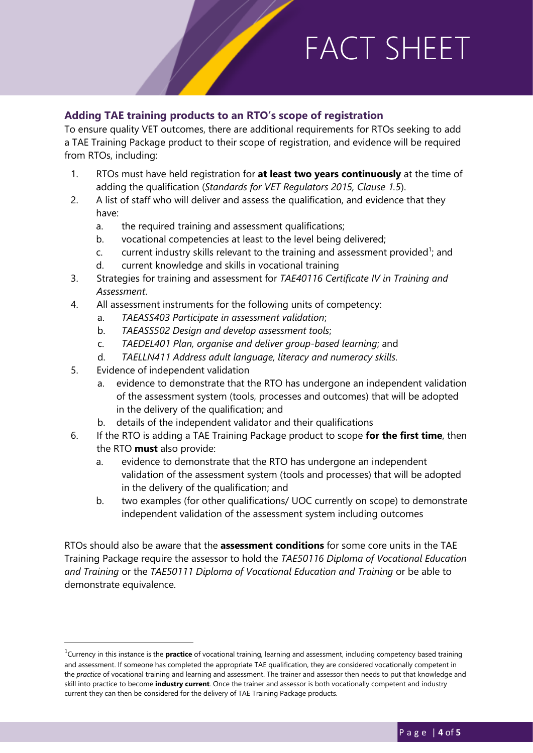### **Adding TAE training products to an RTO's scope of registration**

To ensure quality VET outcomes, there are additional requirements for RTOs seeking to add a TAE Training Package product to their scope of registration, and evidence will be required from RTOs, including:

- 1. RTOs must have held registration for **at least two years continuously** at the time of adding the qualification (*Standards for VET Regulators 2015, Clause 1.5*).
- 2. A list of staff who will deliver and assess the qualification, and evidence that they have:
	- a. the required training and assessment qualifications;
	- b. vocational competencies at least to the level being delivered;
	- c. current industry skills relevant to the training and assessment provided<sup>1</sup>; and
	- d. current knowledge and skills in vocational training
- 3. Strategies for training and assessment for *TAE40116 Certificate IV in Training and Assessment*.
- 4. All assessment instruments for the following units of competency:
	- a. *TAEASS403 Participate in assessment validation*;
	- b. *TAEASS502 Design and develop assessment tools*;
	- c. *TAEDEL401 Plan, organise and deliver group-based learning*; and
	- d. *TAELLN411 Address adult language, literacy and numeracy skills.*
- 5. Evidence of independent validation

1

- a. evidence to demonstrate that the RTO has undergone an independent validation of the assessment system (tools, processes and outcomes) that will be adopted in the delivery of the qualification; and
- b. details of the independent validator and their qualifications
- 6. If the RTO is adding a TAE Training Package product to scope **for the first time**, then the RTO **must** also provide:
	- a. evidence to demonstrate that the RTO has undergone an independent validation of the assessment system (tools and processes) that will be adopted in the delivery of the qualification; and
	- b. two examples (for other qualifications/ UOC currently on scope) to demonstrate independent validation of the assessment system including outcomes

RTOs should also be aware that the **assessment conditions** for some core units in the TAE Training Package require the assessor to hold the *TAE50116 Diploma of Vocational Education and Training* or the *TAE50111 Diploma of Vocational Education and Training* or be able to demonstrate equivalence.

<sup>&</sup>lt;sup>1</sup>Currency in this instance is the **practice** of vocational training, learning and assessment, including competency based training and assessment. If someone has completed the appropriate TAE qualification, they are considered vocationally competent in the *practice* of vocational training and learning and assessment. The trainer and assessor then needs to put that knowledge and skill into practice to become **industry current**. Once the trainer and assessor is both vocationally competent and industry current they can then be considered for the delivery of TAE Training Package products.